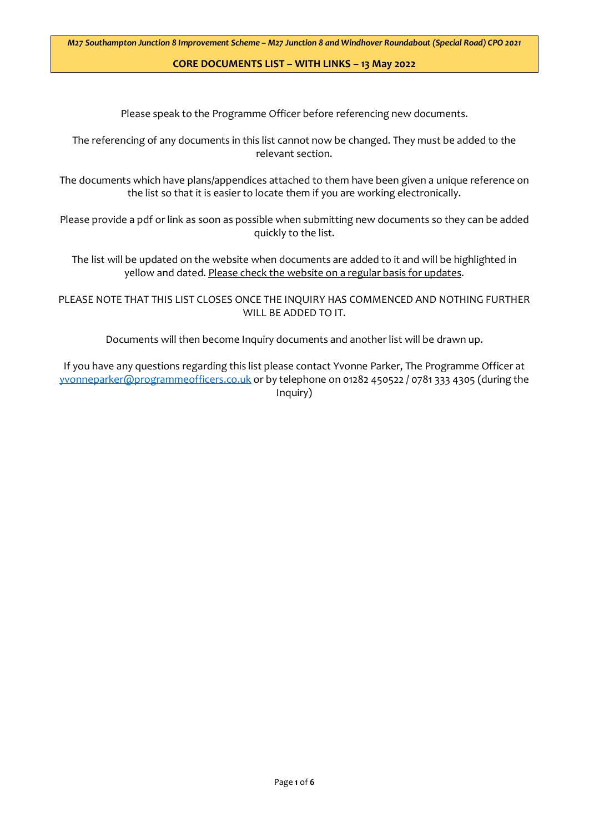Please speak to the Programme Officer before referencing new documents.

The referencing of any documents in this list cannot now be changed. They must be added to the relevant section.

The documents which have plans/appendices attached to them have been given a unique reference on the list so that it is easier to locate them if you are working electronically.

Please provide a pdf or link as soon as possible when submitting new documents so they can be added quickly to the list.

The list will be updated on the website when documents are added to it and will be highlighted in yellow and dated. Please check the website on a regular basis for updates.

PLEASE NOTE THAT THIS LIST CLOSES ONCE THE INQUIRY HAS COMMENCED AND NOTHING FURTHER WILL BE ADDED TO IT.

Documents will then become Inquiry documents and another list will be drawn up.

If you have any questions regarding this list please contact Yvonne Parker, The Programme Officer at [yvonneparker@programmeofficers.co.uk](mailto:yvonneparker@programmeofficers.co.uk) or by telephone on 01282 450522 / 0781 333 4305 (during the Inquiry)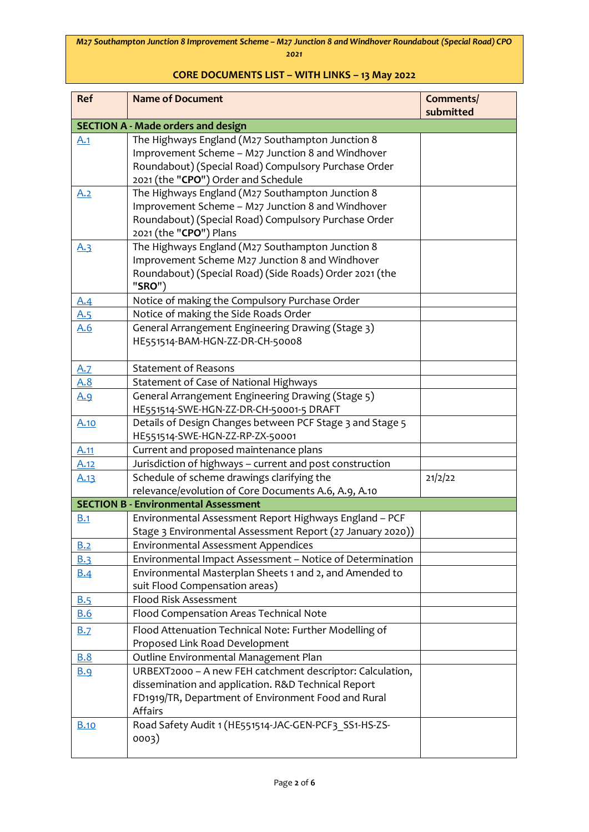| Ref                      | <b>Name of Document</b>                                                                                                                                                                                               | Comments/<br>submitted |
|--------------------------|-----------------------------------------------------------------------------------------------------------------------------------------------------------------------------------------------------------------------|------------------------|
|                          | <b>SECTION A - Made orders and design</b>                                                                                                                                                                             |                        |
| A.1                      | The Highways England (M27 Southampton Junction 8                                                                                                                                                                      |                        |
|                          | Improvement Scheme - M27 Junction 8 and Windhover                                                                                                                                                                     |                        |
|                          | Roundabout) (Special Road) Compulsory Purchase Order                                                                                                                                                                  |                        |
|                          | 2021 (the "CPO") Order and Schedule                                                                                                                                                                                   |                        |
| A.2                      | The Highways England (M27 Southampton Junction 8                                                                                                                                                                      |                        |
|                          | Improvement Scheme - M27 Junction 8 and Windhover                                                                                                                                                                     |                        |
|                          | Roundabout) (Special Road) Compulsory Purchase Order                                                                                                                                                                  |                        |
|                          | 2021 (the "CPO") Plans                                                                                                                                                                                                |                        |
| A.3                      | The Highways England (M27 Southampton Junction 8                                                                                                                                                                      |                        |
|                          | Improvement Scheme M27 Junction 8 and Windhover                                                                                                                                                                       |                        |
|                          | Roundabout) (Special Road) (Side Roads) Order 2021 (the<br>"SRO")                                                                                                                                                     |                        |
| <u>A.4</u>               | Notice of making the Compulsory Purchase Order                                                                                                                                                                        |                        |
| <u>A.5</u>               | Notice of making the Side Roads Order                                                                                                                                                                                 |                        |
| A.6                      | General Arrangement Engineering Drawing (Stage 3)                                                                                                                                                                     |                        |
|                          | HE551514-BAM-HGN-ZZ-DR-CH-50008                                                                                                                                                                                       |                        |
|                          |                                                                                                                                                                                                                       |                        |
| A.7                      | <b>Statement of Reasons</b>                                                                                                                                                                                           |                        |
| <u>A.8</u>               | Statement of Case of National Highways                                                                                                                                                                                |                        |
| <u>A.9</u>               | General Arrangement Engineering Drawing (Stage 5)                                                                                                                                                                     |                        |
|                          | HE551514-SWE-HGN-ZZ-DR-CH-50001-5 DRAFT                                                                                                                                                                               |                        |
| A.10                     | Details of Design Changes between PCF Stage 3 and Stage 5                                                                                                                                                             |                        |
|                          | HE551514-SWE-HGN-ZZ-RP-ZX-50001                                                                                                                                                                                       |                        |
| A.11                     | Current and proposed maintenance plans                                                                                                                                                                                |                        |
| <u>A.12</u>              | Jurisdiction of highways - current and post construction                                                                                                                                                              |                        |
| A.13                     | Schedule of scheme drawings clarifying the                                                                                                                                                                            | 21/2/22                |
|                          | relevance/evolution of Core Documents A.6, A.9, A.10<br><b>SECTION B - Environmental Assessment</b>                                                                                                                   |                        |
| B.1                      |                                                                                                                                                                                                                       |                        |
|                          | Environmental Assessment Report Highways England - PCF<br>Stage 3 Environmental Assessment Report (27 January 2020))                                                                                                  |                        |
| B.2                      | <b>Environmental Assessment Appendices</b>                                                                                                                                                                            |                        |
| <b>B.3</b>               | Environmental Impact Assessment - Notice of Determination                                                                                                                                                             |                        |
|                          |                                                                                                                                                                                                                       |                        |
|                          |                                                                                                                                                                                                                       |                        |
|                          | Flood Risk Assessment                                                                                                                                                                                                 |                        |
| <b>B.6</b>               | Flood Compensation Areas Technical Note                                                                                                                                                                               |                        |
|                          |                                                                                                                                                                                                                       |                        |
|                          | Proposed Link Road Development                                                                                                                                                                                        |                        |
| <b>B.8</b>               | Outline Environmental Management Plan                                                                                                                                                                                 |                        |
| <b>B.9</b>               | URBEXT2000 - A new FEH catchment descriptor: Calculation,                                                                                                                                                             |                        |
|                          | dissemination and application. R&D Technical Report                                                                                                                                                                   |                        |
|                          | FD1919/TR, Department of Environment Food and Rural                                                                                                                                                                   |                        |
|                          | Affairs                                                                                                                                                                                                               |                        |
| <b>B.10</b>              |                                                                                                                                                                                                                       |                        |
|                          |                                                                                                                                                                                                                       |                        |
| <u>B.4</u><br>B.5<br>B.7 | Environmental Masterplan Sheets 1 and 2, and Amended to<br>suit Flood Compensation areas)<br>Flood Attenuation Technical Note: Further Modelling of<br>Road Safety Audit 1 (HE551514-JAC-GEN-PCF3 SS1-HS-ZS-<br>0003) |                        |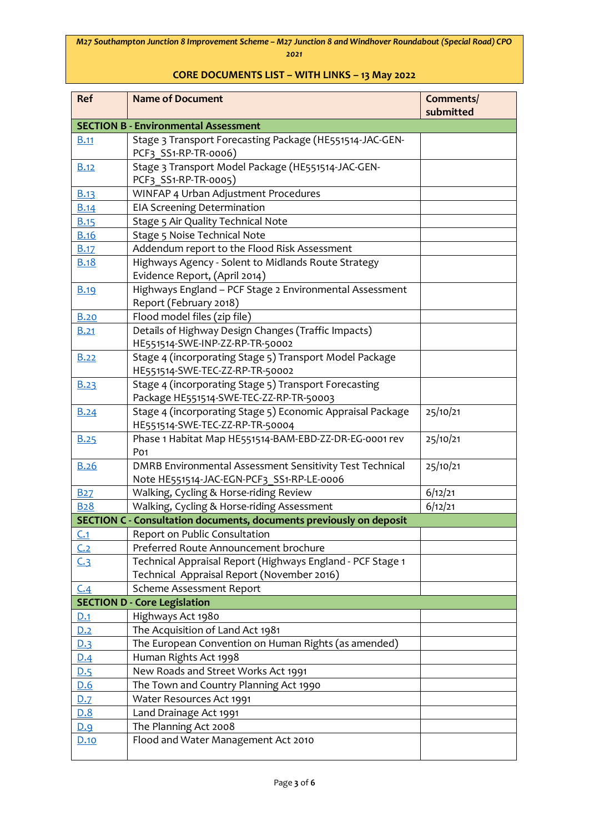| <b>Ref</b>     | <b>Name of Document</b>                                                                    | Comments/<br>submitted |
|----------------|--------------------------------------------------------------------------------------------|------------------------|
|                | <b>SECTION B - Environmental Assessment</b>                                                |                        |
| <b>B.11</b>    | Stage 3 Transport Forecasting Package (HE551514-JAC-GEN-                                   |                        |
|                | PCF3 SS1-RP-TR-0006)                                                                       |                        |
| <b>B.12</b>    | Stage 3 Transport Model Package (HE551514-JAC-GEN-                                         |                        |
|                | PCF3 SS1-RP-TR-0005)                                                                       |                        |
| B.13           | WINFAP 4 Urban Adjustment Procedures                                                       |                        |
| B.14           | <b>EIA Screening Determination</b>                                                         |                        |
| B.15           | Stage 5 Air Quality Technical Note                                                         |                        |
| <b>B.16</b>    | Stage 5 Noise Technical Note                                                               |                        |
| B.17           | Addendum report to the Flood Risk Assessment                                               |                        |
| <b>B.18</b>    | Highways Agency - Solent to Midlands Route Strategy                                        |                        |
|                | Evidence Report, (April 2014)                                                              |                        |
| <b>B.19</b>    | Highways England - PCF Stage 2 Environmental Assessment                                    |                        |
|                | Report (February 2018)                                                                     |                        |
| <b>B.20</b>    | Flood model files (zip file)                                                               |                        |
| <b>B.21</b>    | Details of Highway Design Changes (Traffic Impacts)                                        |                        |
|                | HE551514-SWE-INP-ZZ-RP-TR-50002                                                            |                        |
| <b>B.22</b>    | Stage 4 (incorporating Stage 5) Transport Model Package<br>HE551514-SWE-TEC-ZZ-RP-TR-50002 |                        |
|                | Stage 4 (incorporating Stage 5) Transport Forecasting                                      |                        |
| <b>B.23</b>    | Package HE551514-SWE-TEC-ZZ-RP-TR-50003                                                    |                        |
| B.24           | Stage 4 (incorporating Stage 5) Economic Appraisal Package                                 | 25/10/21               |
|                | HE551514-SWE-TEC-ZZ-RP-TR-50004                                                            |                        |
| <b>B.25</b>    | Phase 1 Habitat Map HE551514-BAM-EBD-ZZ-DR-EG-0001 rev                                     | 25/10/21               |
|                | Po <sub>1</sub>                                                                            |                        |
| <b>B.26</b>    | DMRB Environmental Assessment Sensitivity Test Technical                                   | 25/10/21               |
|                | Note HE551514-JAC-EGN-PCF3 SS1-RP-LE-0006                                                  |                        |
| B27            | Walking, Cycling & Horse-riding Review                                                     | 6/12/21                |
| <b>B28</b>     | Walking, Cycling & Horse-riding Assessment                                                 | 6/12/21                |
|                | SECTION C - Consultation documents, documents previously on deposit                        |                        |
| C.1            | Report on Public Consultation                                                              |                        |
| C.2            | Preferred Route Announcement brochure                                                      |                        |
| C <sub>3</sub> | Technical Appraisal Report (Highways England - PCF Stage 1                                 |                        |
|                | Technical Appraisal Report (November 2016)                                                 |                        |
| C.4            | Scheme Assessment Report                                                                   |                        |
|                | <b>SECTION D - Core Legislation</b>                                                        |                        |
| <u>D.1</u>     | Highways Act 1980                                                                          |                        |
| <u>D.2</u>     | The Acquisition of Land Act 1981                                                           |                        |
| <u>D.3</u>     | The European Convention on Human Rights (as amended)                                       |                        |
| D.4            | Human Rights Act 1998                                                                      |                        |
| D.5            | New Roads and Street Works Act 1991                                                        |                        |
| D.6            | The Town and Country Planning Act 1990                                                     |                        |
| D.7            | Water Resources Act 1991                                                                   |                        |
| <u>D.8</u>     | Land Drainage Act 1991                                                                     |                        |
| <u>D.9</u>     | The Planning Act 2008                                                                      |                        |
| D.10           | Flood and Water Management Act 2010                                                        |                        |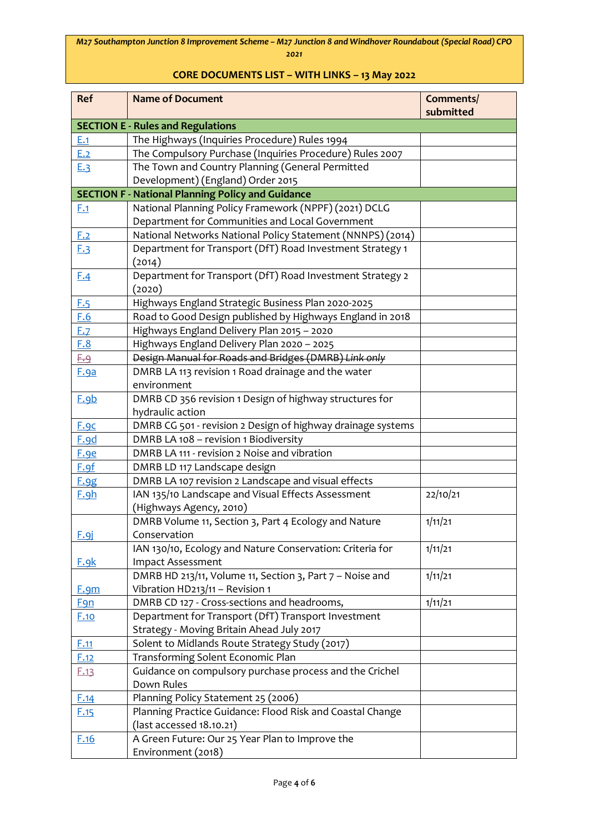| Ref         | <b>Name of Document</b>                                     | Comments/<br>submitted |
|-------------|-------------------------------------------------------------|------------------------|
|             | <b>SECTION E - Rules and Regulations</b>                    |                        |
| E.1         | The Highways (Inquiries Procedure) Rules 1994               |                        |
| E.2         | The Compulsory Purchase (Inquiries Procedure) Rules 2007    |                        |
| E.3         | The Town and Country Planning (General Permitted            |                        |
|             | Development) (England) Order 2015                           |                        |
|             | <b>SECTION F - National Planning Policy and Guidance</b>    |                        |
| F.1         | National Planning Policy Framework (NPPF) (2021) DCLG       |                        |
|             | Department for Communities and Local Government             |                        |
| <u>F.2</u>  | National Networks National Policy Statement (NNNPS) (2014)  |                        |
| E.3         | Department for Transport (DfT) Road Investment Strategy 1   |                        |
|             | (2014)                                                      |                        |
| E.4         | Department for Transport (DfT) Road Investment Strategy 2   |                        |
|             | (2020)                                                      |                        |
| E.5         | Highways England Strategic Business Plan 2020-2025          |                        |
| F.6         | Road to Good Design published by Highways England in 2018   |                        |
| E.7         | Highways England Delivery Plan 2015 - 2020                  |                        |
| F.8         | Highways England Delivery Plan 2020 - 2025                  |                        |
| <u>F.9</u>  | Design Manual for Roads and Bridges (DMRB) Link only        |                        |
| <b>F.9a</b> | DMRB LA 113 revision 1 Road drainage and the water          |                        |
|             | environment                                                 |                        |
| F.9b        | DMRB CD 356 revision 1 Design of highway structures for     |                        |
|             | hydraulic action                                            |                        |
| F.9c        | DMRB CG 501 - revision 2 Design of highway drainage systems |                        |
| F.9d        | DMRB LA 108 - revision 1 Biodiversity                       |                        |
| F.9e        | DMRB LA 111 - revision 2 Noise and vibration                |                        |
| E.9f        | DMRB LD 117 Landscape design                                |                        |
| F.9g        | DMRB LA 107 revision 2 Landscape and visual effects         |                        |
| F.9h        | IAN 135/10 Landscape and Visual Effects Assessment          | 22/10/21               |
|             | (Highways Agency, 2010)                                     |                        |
|             | DMRB Volume 11, Section 3, Part 4 Ecology and Nature        | 1/11/21                |
| F.9j        | Conservation                                                |                        |
|             | IAN 130/10, Ecology and Nature Conservation: Criteria for   | 1/11/21                |
| <u>F.9k</u> | Impact Assessment                                           |                        |
|             | DMRB HD 213/11, Volume 11, Section 3, Part 7 - Noise and    | 1/11/21                |
| F.9m        | Vibration HD213/11 - Revision 1                             |                        |
| <u>Fgn</u>  | DMRB CD 127 - Cross-sections and headrooms,                 | 1/11/21                |
| <b>F.10</b> | Department for Transport (DfT) Transport Investment         |                        |
|             | Strategy - Moving Britain Ahead July 2017                   |                        |
| E.11        | Solent to Midlands Route Strategy Study (2017)              |                        |
| F.12        | Transforming Solent Economic Plan                           |                        |
| F.13        | Guidance on compulsory purchase process and the Crichel     |                        |
|             | Down Rules                                                  |                        |
| F.14        | Planning Policy Statement 25 (2006)                         |                        |
| E.15        | Planning Practice Guidance: Flood Risk and Coastal Change   |                        |
|             | (last accessed 18.10.21)                                    |                        |
| F.16        | A Green Future: Our 25 Year Plan to Improve the             |                        |
|             | Environment (2018)                                          |                        |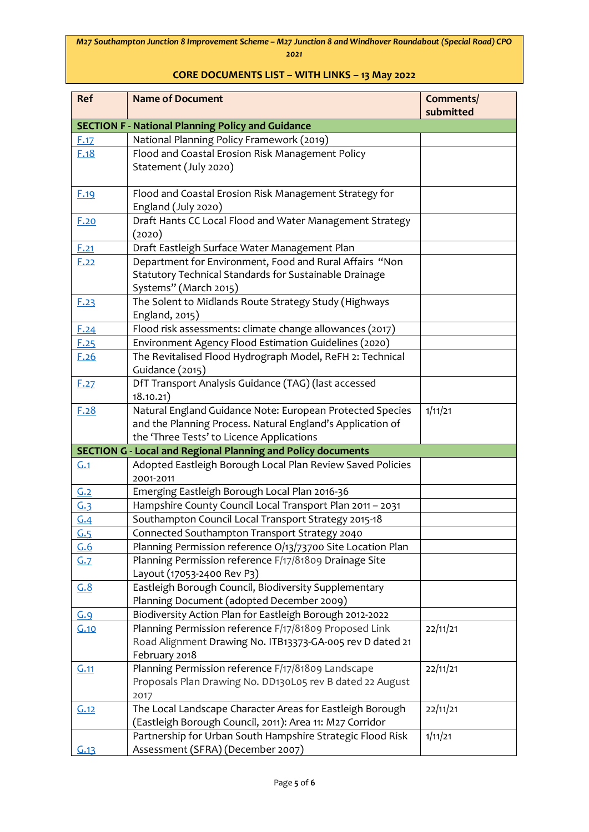| Ref               | <b>Name of Document</b>                                             | Comments/<br>submitted |
|-------------------|---------------------------------------------------------------------|------------------------|
|                   | <b>SECTION F - National Planning Policy and Guidance</b>            |                        |
| F.17              | National Planning Policy Framework (2019)                           |                        |
| F.18              | Flood and Coastal Erosion Risk Management Policy                    |                        |
|                   | Statement (July 2020)                                               |                        |
|                   |                                                                     |                        |
| E.19              | Flood and Coastal Erosion Risk Management Strategy for              |                        |
|                   | England (July 2020)                                                 |                        |
| F.20              | Draft Hants CC Local Flood and Water Management Strategy            |                        |
|                   | (2020)                                                              |                        |
| F.21              | Draft Eastleigh Surface Water Management Plan                       |                        |
| F.22              | Department for Environment, Food and Rural Affairs "Non             |                        |
|                   | Statutory Technical Standards for Sustainable Drainage              |                        |
|                   | Systems" (March 2015)                                               |                        |
| E.23              | The Solent to Midlands Route Strategy Study (Highways               |                        |
|                   | England, 2015)                                                      |                        |
| E.24              | Flood risk assessments: climate change allowances (2017)            |                        |
| E.25              | Environment Agency Flood Estimation Guidelines (2020)               |                        |
| F.26              | The Revitalised Flood Hydrograph Model, ReFH 2: Technical           |                        |
|                   | Guidance (2015)                                                     |                        |
| F.27              | DfT Transport Analysis Guidance (TAG) (last accessed<br>18.10.21)   |                        |
| F.28              | Natural England Guidance Note: European Protected Species           | 1/11/21                |
|                   | and the Planning Process. Natural England's Application of          |                        |
|                   | the 'Three Tests' to Licence Applications                           |                        |
|                   | <b>SECTION G - Local and Regional Planning and Policy documents</b> |                        |
| G.1               | Adopted Eastleigh Borough Local Plan Review Saved Policies          |                        |
|                   | 2001-2011                                                           |                        |
| G.2               | Emerging Eastleigh Borough Local Plan 2016-36                       |                        |
| <u>G.3</u>        | Hampshire County Council Local Transport Plan 2011 - 2031           |                        |
| G.4               | Southampton Council Local Transport Strategy 2015-18                |                        |
| $\underline{G.5}$ | Connected Southampton Transport Strategy 2040                       |                        |
| G.6               | Planning Permission reference O/13/73700 Site Location Plan         |                        |
| G.7               | Planning Permission reference F/17/81809 Drainage Site              |                        |
|                   | Layout (17053-2400 Rev P3)                                          |                        |
| G.8               | Eastleigh Borough Council, Biodiversity Supplementary               |                        |
|                   | Planning Document (adopted December 2009)                           |                        |
| G.9               | Biodiversity Action Plan for Eastleigh Borough 2012-2022            |                        |
| G.10              | Planning Permission reference F/17/81809 Proposed Link              | 22/11/21               |
|                   | Road Alignment Drawing No. ITB13373-GA-005 rev D dated 21           |                        |
|                   | February 2018                                                       |                        |
| G.11              | Planning Permission reference F/17/81809 Landscape                  | 22/11/21               |
|                   | Proposals Plan Drawing No. DD130L05 rev B dated 22 August           |                        |
|                   | 2017                                                                |                        |
| G.12              | The Local Landscape Character Areas for Eastleigh Borough           | 22/11/21               |
|                   | (Eastleigh Borough Council, 2011): Area 11: M27 Corridor            |                        |
|                   | Partnership for Urban South Hampshire Strategic Flood Risk          | 1/11/21                |
| G.13              | Assessment (SFRA) (December 2007)                                   |                        |